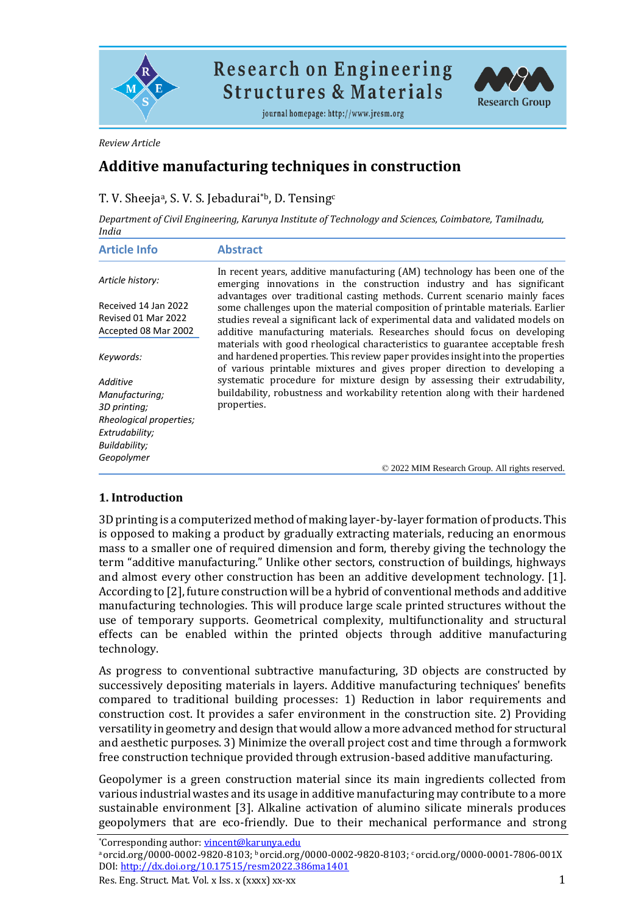

**Research on Engineering Structures & Materials** 

journal homepage: http://www.jresm.org



#### *Review Article*

# **Additive manufacturing techniques in construction**

## T. V. Sheejaª, S. V. S. Jebadurai\*b, D. Tensing<sup>c</sup>

*Department of Civil Engineering, Karunya Institute of Technology and Sciences, Coimbatore, Tamilnadu, India*

| <b>Article Info</b>                                                 | <b>Abstract</b>                                                                                                                                                                                                                                                                                                          |
|---------------------------------------------------------------------|--------------------------------------------------------------------------------------------------------------------------------------------------------------------------------------------------------------------------------------------------------------------------------------------------------------------------|
| Article history:                                                    | In recent years, additive manufacturing (AM) technology has been one of the<br>emerging innovations in the construction industry and has significant                                                                                                                                                                     |
| Received 14 Jan 2022<br>Revised 01 Mar 2022<br>Accepted 08 Mar 2002 | advantages over traditional casting methods. Current scenario mainly faces<br>some challenges upon the material composition of printable materials. Earlier<br>studies reveal a significant lack of experimental data and validated models on<br>additive manufacturing materials. Researches should focus on developing |
| Keywords:                                                           | materials with good rheological characteristics to guarantee acceptable fresh<br>and hardened properties. This review paper provides insight into the properties<br>of various printable mixtures and gives proper direction to developing a                                                                             |
| Additive                                                            | systematic procedure for mixture design by assessing their extrudability,                                                                                                                                                                                                                                                |
| Manufacturing;                                                      | buildability, robustness and workability retention along with their hardened                                                                                                                                                                                                                                             |
| 3D printing;                                                        | properties.                                                                                                                                                                                                                                                                                                              |
| Rheological properties;                                             |                                                                                                                                                                                                                                                                                                                          |
| Extrudability;                                                      |                                                                                                                                                                                                                                                                                                                          |
| Buildability;                                                       |                                                                                                                                                                                                                                                                                                                          |
| Geopolymer                                                          |                                                                                                                                                                                                                                                                                                                          |
|                                                                     | © 2022 MIM Research Group. All rights reserved.                                                                                                                                                                                                                                                                          |

### **1. Introduction**

3D printing is a computerized method of making layer-by-layer formation of products. This is opposed to making a product by gradually extracting materials, reducing an enormous mass to a smaller one of required dimension and form, thereby giving the technology the term "additive manufacturing." Unlike other sectors, construction of buildings, highways and almost every other construction has been an additive development technology. [1]. According to [2], future construction will be a hybrid of conventional methods and additive manufacturing technologies. This will produce large scale printed structures without the use of temporary supports. Geometrical complexity, multifunctionality and structural effects can be enabled within the printed objects through additive manufacturing technology.

As progress to conventional subtractive manufacturing, 3D objects are constructed by successively depositing materials in layers. Additive manufacturing techniques' benefits compared to traditional building processes: 1) Reduction in labor requirements and construction cost. It provides a safer environment in the construction site. 2) Providing versatility in geometry and design that would allow a more advanced method for structural and aesthetic purposes. 3) Minimize the overall project cost and time through a formwork free construction technique provided through extrusion-based additive manufacturing.

Geopolymer is a green construction material since its main ingredients collected from various industrial wastes and its usage in additive manufacturing may contribute to a more sustainable environment [3]. Alkaline activation of alumino silicate minerals produces geopolymers that are eco-friendly. Due to their mechanical performance and strong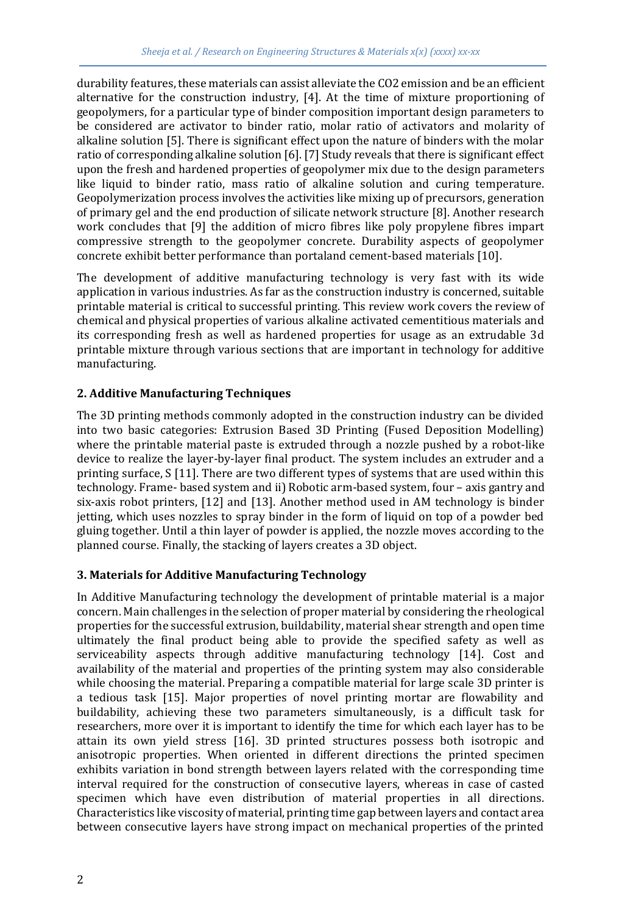durability features, these materials can assist alleviate the CO2 emission and be an efficient alternative for the construction industry, [4]. At the time of mixture proportioning of geopolymers, for a particular type of binder composition important design parameters to be considered are activator to binder ratio, molar ratio of activators and molarity of alkaline solution [5]. There is significant effect upon the nature of binders with the molar ratio of corresponding alkaline solution [6]. [7] Study reveals that there is significant effect upon the fresh and hardened properties of geopolymer mix due to the design parameters like liquid to binder ratio, mass ratio of alkaline solution and curing temperature. Geopolymerization process involves the activities like mixing up of precursors, generation of primary gel and the end production of silicate network structure [8]. Another research work concludes that [9] the addition of micro fibres like poly propylene fibres impart compressive strength to the geopolymer concrete. Durability aspects of geopolymer concrete exhibit better performance than portaland cement-based materials [10].

The development of additive manufacturing technology is very fast with its wide application in various industries. As far as the construction industry is concerned, suitable printable material is critical to successful printing. This review work covers the review of chemical and physical properties of various alkaline activated cementitious materials and its corresponding fresh as well as hardened properties for usage as an extrudable 3d printable mixture through various sections that are important in technology for additive manufacturing.

## **2. Additive Manufacturing Techniques**

The 3D printing methods commonly adopted in the construction industry can be divided into two basic categories: Extrusion Based 3D Printing (Fused Deposition Modelling) where the printable material paste is extruded through a nozzle pushed by a robot-like device to realize the layer-by-layer final product. The system includes an extruder and a printing surface, S [11]. There are two different types of systems that are used within this technology. Frame- based system and ii) Robotic arm-based system, four – axis gantry and six-axis robot printers, [12] and [13]. Another method used in AM technology is binder jetting, which uses nozzles to spray binder in the form of liquid on top of a powder bed gluing together. Until a thin layer of powder is applied, the nozzle moves according to the planned course. Finally, the stacking of layers creates a 3D object.

## **3. Materials for Additive Manufacturing Technology**

In Additive Manufacturing technology the development of printable material is a major concern. Main challenges in the selection of proper material by considering the rheological properties for the successful extrusion, buildability, material shear strength and open time ultimately the final product being able to provide the specified safety as well as serviceability aspects through additive manufacturing technology [14]. Cost and availability of the material and properties of the printing system may also considerable while choosing the material. Preparing a compatible material for large scale 3D printer is a tedious task [15]. Major properties of novel printing mortar are flowability and buildability, achieving these two parameters simultaneously, is a difficult task for researchers, more over it is important to identify the time for which each layer has to be attain its own yield stress [16]. 3D printed structures possess both isotropic and anisotropic properties. When oriented in different directions the printed specimen exhibits variation in bond strength between layers related with the corresponding time interval required for the construction of consecutive layers, whereas in case of casted specimen which have even distribution of material properties in all directions. Characteristics like viscosity of material, printing time gap between layers and contact area between consecutive layers have strong impact on mechanical properties of the printed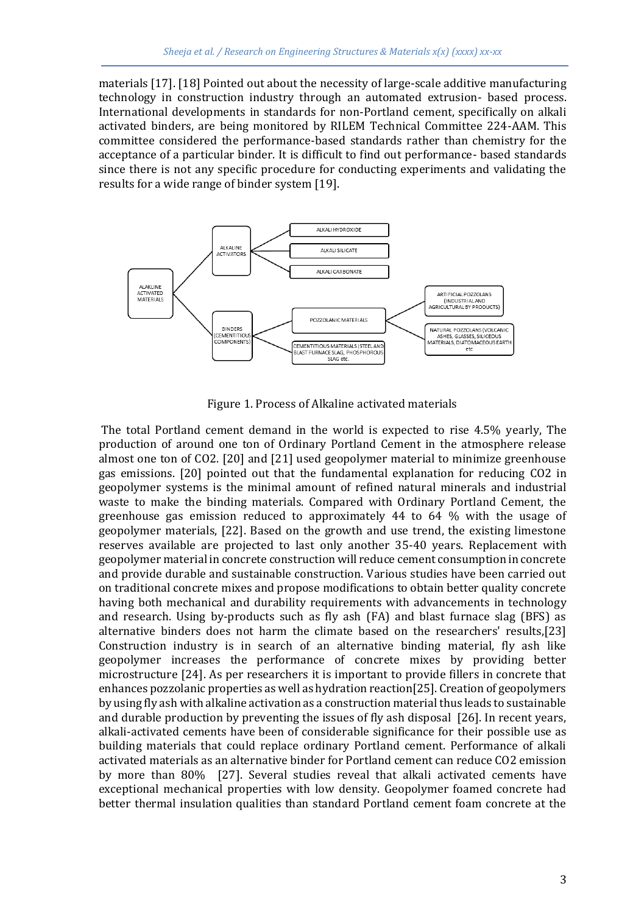materials [17]. [18] Pointed out about the necessity of large-scale additive manufacturing technology in construction industry through an automated extrusion- based process. International developments in standards for non-Portland cement, specifically on alkali activated binders, are being monitored by RILEM Technical Committee 224-AAM. This committee considered the performance-based standards rather than chemistry for the acceptance of a particular binder. It is difficult to find out performance- based standards since there is not any specific procedure for conducting experiments and validating the results for a wide range of binder system [19].



Figure 1. Process of Alkaline activated materials

The total Portland cement demand in the world is expected to rise 4.5% yearly, The production of around one ton of Ordinary Portland Cement in the atmosphere release almost one ton of CO2. [20] and [21] used geopolymer material to minimize greenhouse gas emissions. [20] pointed out that the fundamental explanation for reducing CO2 in geopolymer systems is the minimal amount of refined natural minerals and industrial waste to make the binding materials. Compared with Ordinary Portland Cement, the greenhouse gas emission reduced to approximately 44 to 64 % with the usage of geopolymer materials, [22]. Based on the growth and use trend, the existing limestone reserves available are projected to last only another 35-40 years. Replacement with geopolymer material in concrete construction will reduce cement consumption in concrete and provide durable and sustainable construction. Various studies have been carried out on traditional concrete mixes and propose modifications to obtain better quality concrete having both mechanical and durability requirements with advancements in technology and research. Using by-products such as fly ash (FA) and blast furnace slag (BFS) as alternative binders does not harm the climate based on the researchers' results,[23] Construction industry is in search of an alternative binding material, fly ash like geopolymer increases the performance of concrete mixes by providing better microstructure [24]. As per researchers it is important to provide fillers in concrete that enhances pozzolanic properties as well as hydration reaction[25]. Creation of geopolymers by using fly ash with alkaline activation as a construction material thus leads to sustainable and durable production by preventing the issues of fly ash disposal [26]. In recent years, alkali-activated cements have been of considerable significance for their possible use as building materials that could replace ordinary Portland cement. Performance of alkali activated materials as an alternative binder for Portland cement can reduce CO2 emission by more than 80% [27]. Several studies reveal that alkali activated cements have exceptional mechanical properties with low density. Geopolymer foamed concrete had better thermal insulation qualities than standard Portland cement foam concrete at the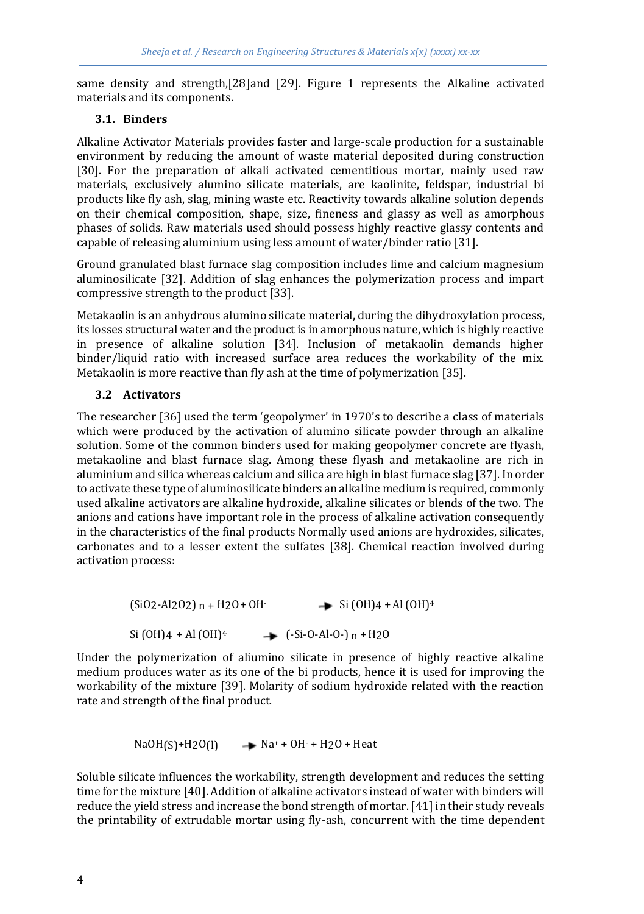same density and strength,[28]and [29]. Figure 1 represents the Alkaline activated materials and its components.

### **3.1. Binders**

Alkaline Activator Materials provides faster and large-scale production for a sustainable environment by reducing the amount of waste material deposited during construction [30]. For the preparation of alkali activated cementitious mortar, mainly used raw materials, exclusively alumino silicate materials, are kaolinite, feldspar, industrial bi products like fly ash, slag, mining waste etc. Reactivity towards alkaline solution depends on their chemical composition, shape, size, fineness and glassy as well as amorphous phases of solids. Raw materials used should possess highly reactive glassy contents and capable of releasing aluminium using less amount of water/binder ratio [31].

Ground granulated blast furnace slag composition includes lime and calcium magnesium aluminosilicate [32]. Addition of slag enhances the polymerization process and impart compressive strength to the product [33].

Metakaolin is an anhydrous alumino silicate material, during the dihydroxylation process, its losses structural water and the product is in amorphous nature, which is highly reactive in presence of alkaline solution [34]. Inclusion of metakaolin demands higher binder/liquid ratio with increased surface area reduces the workability of the mix. Metakaolin is more reactive than fly ash at the time of polymerization [35].

### **3.2 Activators**

The researcher [36] used the term 'geopolymer' in 1970's to describe a class of materials which were produced by the activation of alumino silicate powder through an alkaline solution. Some of the common binders used for making geopolymer concrete are flyash, metakaoline and blast furnace slag. Among these flyash and metakaoline are rich in aluminium and silica whereas calcium and silica are high in blast furnace slag [37]. In order to activate these type of aluminosilicate binders an alkaline medium is required, commonly used alkaline activators are alkaline hydroxide, alkaline silicates or blends of the two. The anions and cations have important role in the process of alkaline activation consequently in the characteristics of the final products Normally used anions are hydroxides, silicates, carbonates and to a lesser extent the sulfates [38]. Chemical reaction involved during activation process:

> $(SiO2-Al2O2)$  n + H2O + OH- Si (OH)4 + Al (OH)<sup>4</sup>  $Si (OH)4 + Al (OH)<sup>4</sup>$   $\rightarrow$   $(-Si-O-Al-O-) n + H2O$

Under the polymerization of aliumino silicate in presence of highly reactive alkaline medium produces water as its one of the bi products, hence it is used for improving the workability of the mixture [39]. Molarity of sodium hydroxide related with the reaction rate and strength of the final product.

NaOH(S)+H2O(I) 
$$
\longrightarrow
$$
 Na<sup>+</sup> + OH<sup>-</sup> + H2O + Heat

Soluble silicate influences the workability, strength development and reduces the setting time for the mixture [40]. Addition of alkaline activators instead of water with binders will reduce the yield stress and increase the bond strength of mortar. [41] in their study reveals the printability of extrudable mortar using fly-ash, concurrent with the time dependent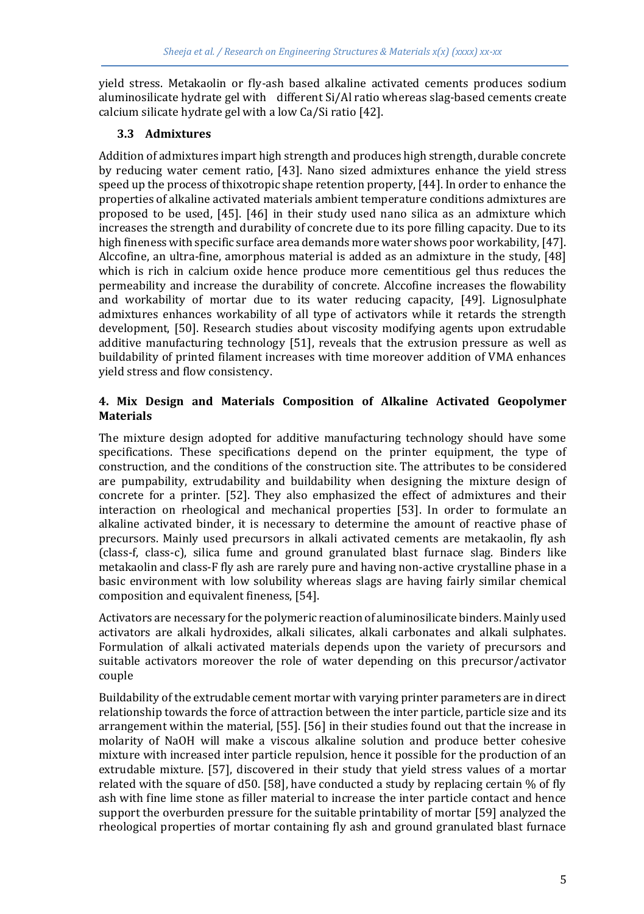yield stress. Metakaolin or fly-ash based alkaline activated cements produces sodium aluminosilicate hydrate gel with different Si/Al ratio whereas slag-based cements create calcium silicate hydrate gel with a low Ca/Si ratio [42].

## **3.3 Admixtures**

Addition of admixtures impart high strength and produces high strength, durable concrete by reducing water cement ratio, [43]. Nano sized admixtures enhance the yield stress speed up the process of thixotropic shape retention property, [44]. In order to enhance the properties of alkaline activated materials ambient temperature conditions admixtures are proposed to be used, [45]. [46] in their study used nano silica as an admixture which increases the strength and durability of concrete due to its pore filling capacity. Due to its high fineness with specific surface area demands more water shows poor workability, [47]. Alccofine, an ultra-fine, amorphous material is added as an admixture in the study, [48] which is rich in calcium oxide hence produce more cementitious gel thus reduces the permeability and increase the durability of concrete. Alccofine increases the flowability and workability of mortar due to its water reducing capacity, [49]. Lignosulphate admixtures enhances workability of all type of activators while it retards the strength development, [50]. Research studies about viscosity modifying agents upon extrudable additive manufacturing technology [51], reveals that the extrusion pressure as well as buildability of printed filament increases with time moreover addition of VMA enhances yield stress and flow consistency.

## **4. Mix Design and Materials Composition of Alkaline Activated Geopolymer Materials**

The mixture design adopted for additive manufacturing technology should have some specifications. These specifications depend on the printer equipment, the type of construction, and the conditions of the construction site. The attributes to be considered are pumpability, extrudability and buildability when designing the mixture design of concrete for a printer. [52]. They also emphasized the effect of admixtures and their interaction on rheological and mechanical properties [53]. In order to formulate an alkaline activated binder, it is necessary to determine the amount of reactive phase of precursors. Mainly used precursors in alkali activated cements are metakaolin, fly ash (class-f, class-c), silica fume and ground granulated blast furnace slag. Binders like metakaolin and class-F fly ash are rarely pure and having non-active crystalline phase in a basic environment with low solubility whereas slags are having fairly similar chemical composition and equivalent fineness, [54].

Activators are necessary for the polymeric reaction of aluminosilicate binders. Mainly used activators are alkali hydroxides, alkali silicates, alkali carbonates and alkali sulphates. Formulation of alkali activated materials depends upon the variety of precursors and suitable activators moreover the role of water depending on this precursor/activator couple

Buildability of the extrudable cement mortar with varying printer parameters are in direct relationship towards the force of attraction between the inter particle, particle size and its arrangement within the material, [55]. [56] in their studies found out that the increase in molarity of NaOH will make a viscous alkaline solution and produce better cohesive mixture with increased inter particle repulsion, hence it possible for the production of an extrudable mixture. [57], discovered in their study that yield stress values of a mortar related with the square of d50. [58], have conducted a study by replacing certain % of fly ash with fine lime stone as filler material to increase the inter particle contact and hence support the overburden pressure for the suitable printability of mortar [59] analyzed the rheological properties of mortar containing fly ash and ground granulated blast furnace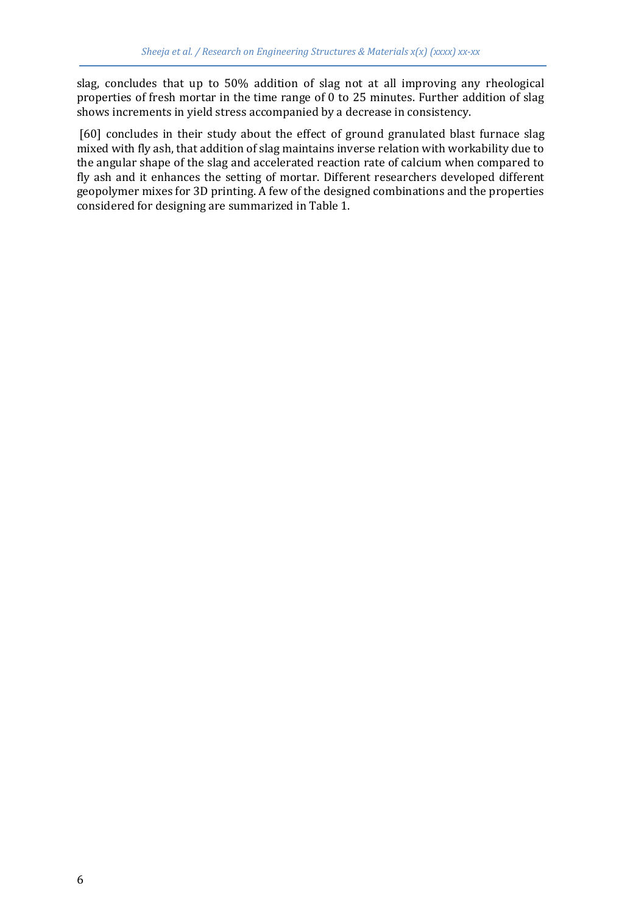slag, concludes that up to 50% addition of slag not at all improving any rheological properties of fresh mortar in the time range of 0 to 25 minutes. Further addition of slag shows increments in yield stress accompanied by a decrease in consistency.

[60] concludes in their study about the effect of ground granulated blast furnace slag mixed with fly ash, that addition of slag maintains inverse relation with workability due to the angular shape of the slag and accelerated reaction rate of calcium when compared to fly ash and it enhances the setting of mortar. Different researchers developed different geopolymer mixes for 3D printing. A few of the designed combinations and the properties considered for designing are summarized in Table 1.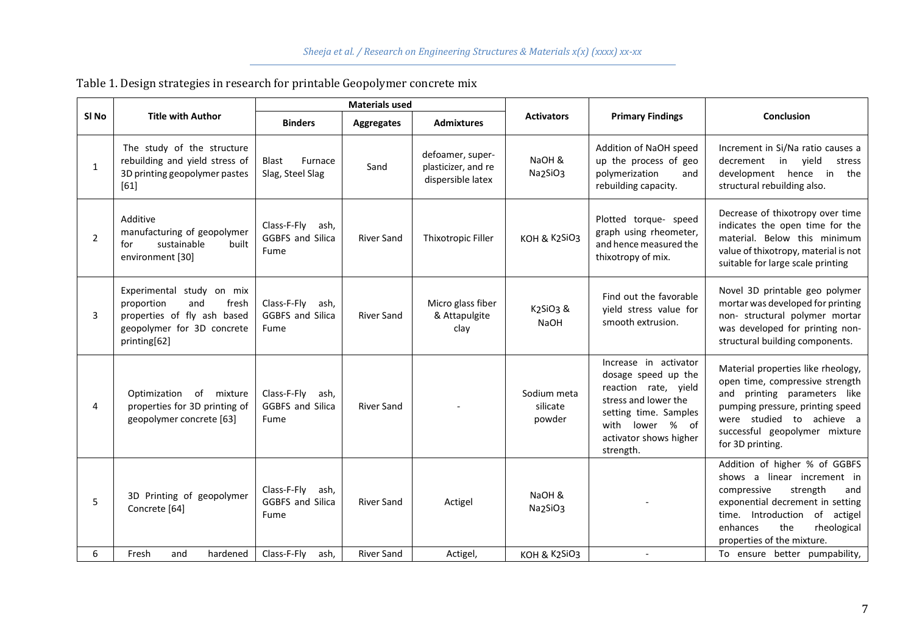| SI No        | <b>Title with Author</b>                                                                                                             | <b>Materials used</b>                                  |                   |                                                              |                                   |                                                                                                                                                                                 |                                                                                                                                                                                                                                        |
|--------------|--------------------------------------------------------------------------------------------------------------------------------------|--------------------------------------------------------|-------------------|--------------------------------------------------------------|-----------------------------------|---------------------------------------------------------------------------------------------------------------------------------------------------------------------------------|----------------------------------------------------------------------------------------------------------------------------------------------------------------------------------------------------------------------------------------|
|              |                                                                                                                                      | <b>Binders</b>                                         | Aggregates        | <b>Admixtures</b>                                            | <b>Activators</b>                 | <b>Primary Findings</b>                                                                                                                                                         | Conclusion                                                                                                                                                                                                                             |
| $\mathbf{1}$ | The study of the structure<br>rebuilding and yield stress of<br>3D printing geopolymer pastes<br>[61]                                | <b>Blast</b><br>Furnace<br>Slag, Steel Slag            | Sand              | defoamer, super-<br>plasticizer, and re<br>dispersible latex | NaOH &<br>Na2SiO3                 | Addition of NaOH speed<br>up the process of geo<br>polymerization<br>and<br>rebuilding capacity.                                                                                | Increment in Si/Na ratio causes a<br>decrement in yield<br>stress<br>development hence in<br>the<br>structural rebuilding also.                                                                                                        |
| 2            | Additive<br>manufacturing of geopolymer<br>sustainable<br>built<br>for<br>environment [30]                                           | Class-F-Flv<br>ash,<br><b>GGBFS and Silica</b><br>Fume | <b>River Sand</b> | Thixotropic Filler                                           | KOH & K2SiO3                      | Plotted torque- speed<br>graph using rheometer,<br>and hence measured the<br>thixotropy of mix.                                                                                 | Decrease of thixotropy over time<br>indicates the open time for the<br>material. Below this minimum<br>value of thixotropy, material is not<br>suitable for large scale printing                                                       |
| 3            | Experimental study on mix<br>proportion<br>and<br>fresh<br>properties of fly ash based<br>geopolymer for 3D concrete<br>printing[62] | Class-F-Fly<br>ash,<br><b>GGBFS and Silica</b><br>Fume | <b>River Sand</b> | Micro glass fiber<br>& Attapulgite<br>clay                   | K2SiO3 &<br><b>NaOH</b>           | Find out the favorable<br>vield stress value for<br>smooth extrusion.                                                                                                           | Novel 3D printable geo polymer<br>mortar was developed for printing<br>non- structural polymer mortar<br>was developed for printing non-<br>structural building components.                                                            |
| 4            | Optimization of mixture<br>properties for 3D printing of<br>geopolymer concrete [63]                                                 | Class-F-Fly<br>ash,<br><b>GGBFS and Silica</b><br>Fume | <b>River Sand</b> |                                                              | Sodium meta<br>silicate<br>powder | Increase in activator<br>dosage speed up the<br>reaction rate, yield<br>stress and lower the<br>setting time. Samples<br>with lower % of<br>activator shows higher<br>strength. | Material properties like rheology,<br>open time, compressive strength<br>and printing parameters like<br>pumping pressure, printing speed<br>were studied to achieve a<br>successful geopolymer mixture<br>for 3D printing.            |
| 5            | 3D Printing of geopolymer<br>Concrete [64]                                                                                           | Class-F-Fly<br>ash,<br>GGBFS and Silica<br>Fume        | <b>River Sand</b> | Actigel                                                      | NaOH &<br>Na2SiO3                 |                                                                                                                                                                                 | Addition of higher % of GGBFS<br>shows a linear increment in<br>compressive<br>strength<br>and<br>exponential decrement in setting<br>time. Introduction<br>of actigel<br>the<br>enhances<br>rheological<br>properties of the mixture. |
| 6            | Fresh<br>hardened<br>and                                                                                                             | Class-F-Fly<br>ash,                                    | <b>River Sand</b> | Actigel,                                                     | KOH & K2SiO3                      |                                                                                                                                                                                 | To ensure better pumpability,                                                                                                                                                                                                          |

## Table 1. Design strategies in research for printable Geopolymer concrete mix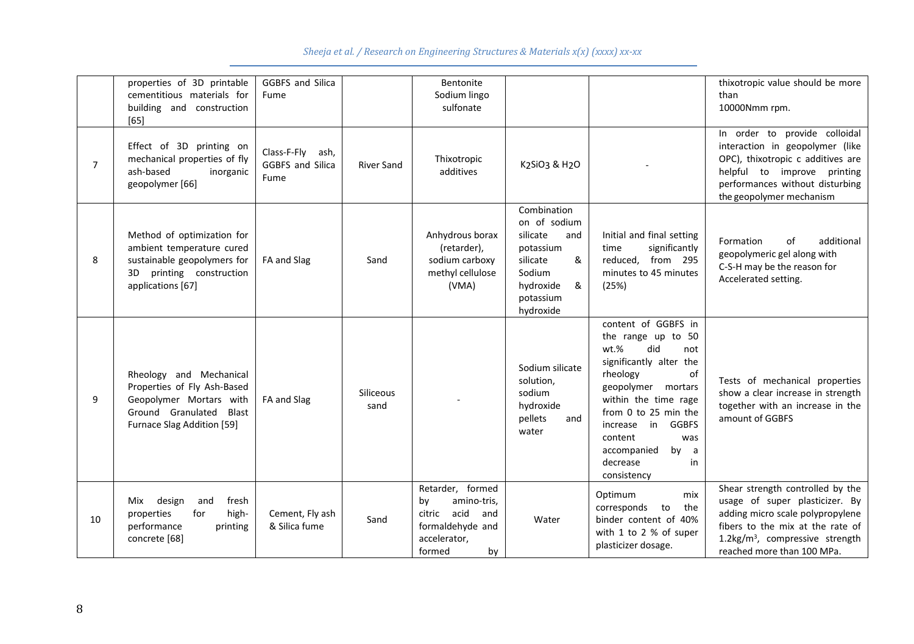*Sheeja et al. / Research on Engineering Structures & Materials x(x) (xxxx) xx-xx*

|    | properties of 3D printable<br>cementitious materials for<br>building and construction<br>[65]                                              | <b>GGBFS and Silica</b><br>Fume                     |                          | Bentonite<br>Sodium lingo<br>sulfonate                                                                             |                                                                                                                                    |                                                                                                                                                                                                                                                                                                   | thixotropic value should be more<br>than<br>10000Nmm rpm.                                                                                                                                                             |
|----|--------------------------------------------------------------------------------------------------------------------------------------------|-----------------------------------------------------|--------------------------|--------------------------------------------------------------------------------------------------------------------|------------------------------------------------------------------------------------------------------------------------------------|---------------------------------------------------------------------------------------------------------------------------------------------------------------------------------------------------------------------------------------------------------------------------------------------------|-----------------------------------------------------------------------------------------------------------------------------------------------------------------------------------------------------------------------|
| 7  | Effect of 3D printing on<br>mechanical properties of fly<br>ash-based<br>inorganic<br>geopolymer [66]                                      | Class-F-Fly ash,<br><b>GGBFS and Silica</b><br>Fume | <b>River Sand</b>        | Thixotropic<br>additives                                                                                           | K2SiO3 & H2O                                                                                                                       |                                                                                                                                                                                                                                                                                                   | In order to provide colloidal<br>interaction in geopolymer (like<br>OPC), thixotropic c additives are<br>helpful to improve printing<br>performances without disturbing<br>the geopolymer mechanism                   |
| 8  | Method of optimization for<br>ambient temperature cured<br>sustainable geopolymers for<br>3D printing construction<br>applications [67]    | FA and Slag                                         | Sand                     | Anhydrous borax<br>(retarder),<br>sodium carboxy<br>methyl cellulose<br>(VMA)                                      | Combination<br>on of sodium<br>silicate<br>and<br>potassium<br>silicate<br>&<br>Sodium<br>hydroxide<br>&<br>potassium<br>hydroxide | Initial and final setting<br>significantly<br>time<br>reduced. from 295<br>minutes to 45 minutes<br>(25%)                                                                                                                                                                                         | additional<br>Formation<br>οf<br>geopolymeric gel along with<br>C-S-H may be the reason for<br>Accelerated setting.                                                                                                   |
| 9  | Rheology and Mechanical<br>Properties of Fly Ash-Based<br>Geopolymer Mortars with<br>Ground Granulated Blast<br>Furnace Slag Addition [59] | FA and Slag                                         | <b>Siliceous</b><br>sand |                                                                                                                    | Sodium silicate<br>solution,<br>sodium<br>hydroxide<br>pellets<br>and<br>water                                                     | content of GGBFS in<br>the range up to 50<br>wt.%<br>did<br>not<br>significantly alter the<br>rheology<br>of<br>geopolymer mortars<br>within the time rage<br>from 0 to 25 min the<br>in<br><b>GGBFS</b><br>increase<br>content<br>was<br>by<br>accompanied<br>a<br>decrease<br>in<br>consistency | Tests of mechanical properties<br>show a clear increase in strength<br>together with an increase in the<br>amount of GGBFS                                                                                            |
| 10 | design<br>fresh<br>Mix<br>and<br>properties<br>for<br>high-<br>performance<br>printing<br>concrete [68]                                    | Cement, Fly ash<br>& Silica fume                    | Sand                     | Retarder, formed<br>amino-tris,<br>by<br>acid<br>citric<br>and<br>formaldehyde and<br>accelerator,<br>by<br>formed | Water                                                                                                                              | Optimum<br>mix<br>corresponds<br>to<br>the<br>binder content of 40%<br>with 1 to 2 % of super<br>plasticizer dosage.                                                                                                                                                                              | Shear strength controlled by the<br>usage of super plasticizer. By<br>adding micro scale polypropylene<br>fibers to the mix at the rate of<br>$1.2\text{kg/m}^3$ , compressive strength<br>reached more than 100 MPa. |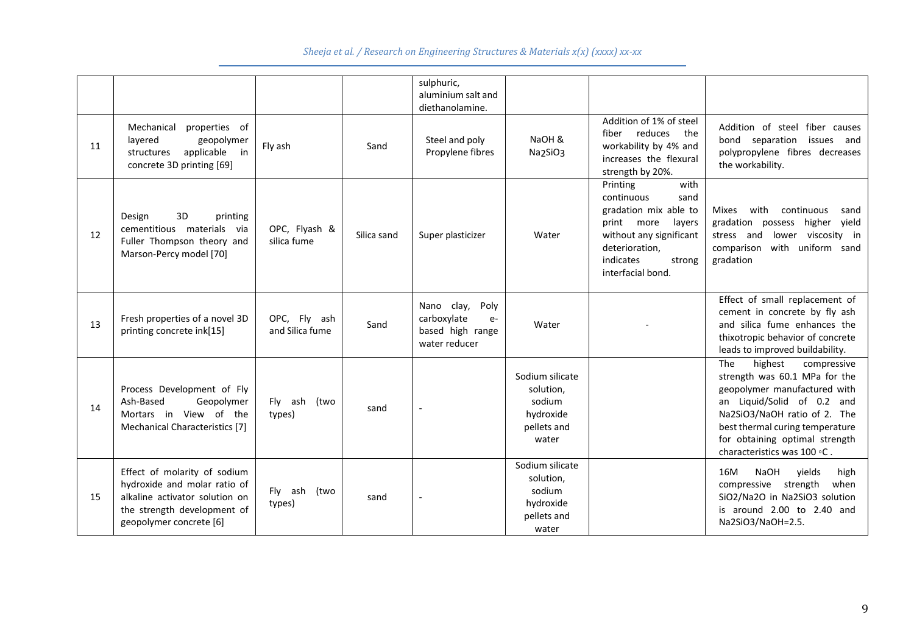|    |                                                                                                                                                          |                                 |             | sulphuric,<br>aluminium salt and<br>diethanolamine.                            |                                                                             |                                                                                                                                                                                  |                                                                                                                                                                                                                                                                  |
|----|----------------------------------------------------------------------------------------------------------------------------------------------------------|---------------------------------|-------------|--------------------------------------------------------------------------------|-----------------------------------------------------------------------------|----------------------------------------------------------------------------------------------------------------------------------------------------------------------------------|------------------------------------------------------------------------------------------------------------------------------------------------------------------------------------------------------------------------------------------------------------------|
| 11 | Mechanical<br>properties of<br>layered<br>geopolymer<br>applicable<br>structures<br>in<br>concrete 3D printing [69]                                      | Fly ash                         | Sand        | Steel and poly<br>Propylene fibres                                             | NaOH &<br>Na2SiO3                                                           | Addition of 1% of steel<br>fiber reduces the<br>workability by 4% and<br>increases the flexural<br>strength by 20%.                                                              | Addition of steel fiber causes<br>bond separation issues and<br>polypropylene fibres decreases<br>the workability.                                                                                                                                               |
| 12 | 3D<br>Design<br>printing<br>cementitious materials via<br>Fuller Thompson theory and<br>Marson-Percy model [70]                                          | OPC, Flyash &<br>silica fume    | Silica sand | Super plasticizer                                                              | Water                                                                       | with<br>Printing<br>continuous<br>sand<br>gradation mix able to<br>print more<br>layers<br>without any significant<br>deterioration,<br>indicates<br>strong<br>interfacial bond. | with<br><b>Mixes</b><br>continuous<br>sand<br>gradation possess higher<br>yield<br>viscosity in<br>stress and<br>lower<br>with<br>uniform sand<br>comparison<br>gradation                                                                                        |
| 13 | Fresh properties of a novel 3D<br>printing concrete ink[15]                                                                                              | OPC, Fly ash<br>and Silica fume | Sand        | Nano clay,<br>Poly<br>carboxylate<br>$e-$<br>based high range<br>water reducer | Water                                                                       |                                                                                                                                                                                  | Effect of small replacement of<br>cement in concrete by fly ash<br>and silica fume enhances the<br>thixotropic behavior of concrete<br>leads to improved buildability.                                                                                           |
| 14 | Process Development of Fly<br>Ash-Based<br>Geopolymer<br>Mortars in View of the<br>Mechanical Characteristics [7]                                        | Fly ash (two<br>types)          | sand        |                                                                                | Sodium silicate<br>solution,<br>sodium<br>hydroxide<br>pellets and<br>water |                                                                                                                                                                                  | The<br>highest<br>compressive<br>strength was 60.1 MPa for the<br>geopolymer manufactured with<br>an Liquid/Solid of 0.2 and<br>Na2SiO3/NaOH ratio of 2. The<br>best thermal curing temperature<br>for obtaining optimal strength<br>characteristics was 100 °C. |
| 15 | Effect of molarity of sodium<br>hydroxide and molar ratio of<br>alkaline activator solution on<br>the strength development of<br>geopolymer concrete [6] | Fly ash (two<br>types)          | sand        |                                                                                | Sodium silicate<br>solution,<br>sodium<br>hydroxide<br>pellets and<br>water |                                                                                                                                                                                  | 16M<br><b>NaOH</b><br>vields<br>high<br>compressive strength<br>when<br>SiO2/Na2O in Na2SiO3 solution<br>is around 2.00 to 2.40 and<br>Na2SiO3/NaOH=2.5.                                                                                                         |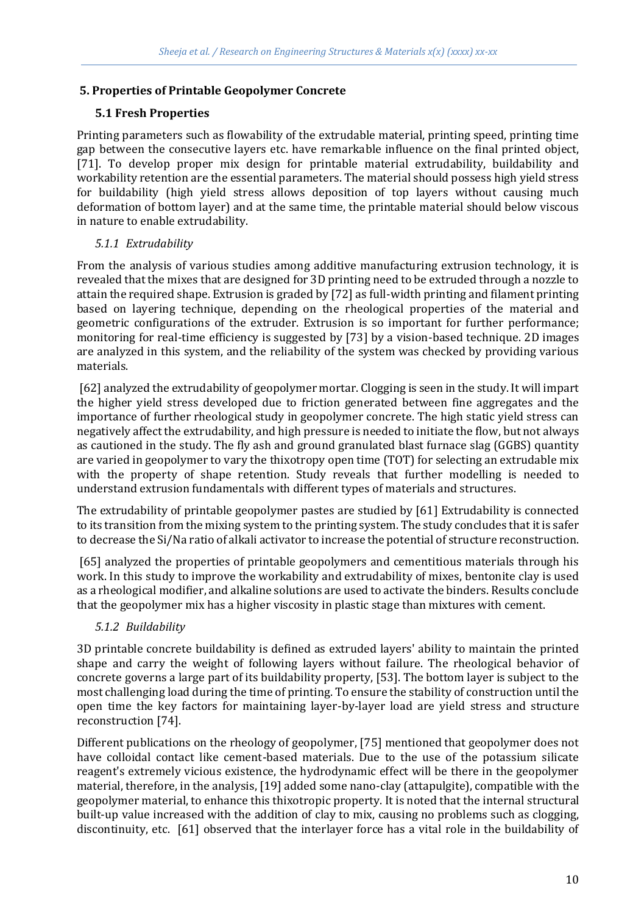## **5. Properties of Printable Geopolymer Concrete**

## **5.1 Fresh Properties**

Printing parameters such as flowability of the extrudable material, printing speed, printing time gap between the consecutive layers etc. have remarkable influence on the final printed object, [71]. To develop proper mix design for printable material extrudability, buildability and workability retention are the essential parameters. The material should possess high yield stress for buildability (high yield stress allows deposition of top layers without causing much deformation of bottom layer) and at the same time, the printable material should below viscous in nature to enable extrudability.

## *5.1.1 Extrudability*

From the analysis of various studies among additive manufacturing extrusion technology, it is revealed that the mixes that are designed for 3D printing need to be extruded through a nozzle to attain the required shape. Extrusion is graded by [72] as full-width printing and filament printing based on layering technique, depending on the rheological properties of the material and geometric configurations of the extruder. Extrusion is so important for further performance; monitoring for real-time efficiency is suggested by [73] by a vision-based technique. 2D images are analyzed in this system, and the reliability of the system was checked by providing various materials.

[62] analyzed the extrudability of geopolymer mortar. Clogging is seen in the study. It will impart the higher yield stress developed due to friction generated between fine aggregates and the importance of further rheological study in geopolymer concrete. The high static yield stress can negatively affect the extrudability, and high pressure is needed to initiate the flow, but not always as cautioned in the study. The fly ash and ground granulated blast furnace slag (GGBS) quantity are varied in geopolymer to vary the thixotropy open time (TOT) for selecting an extrudable mix with the property of shape retention. Study reveals that further modelling is needed to understand extrusion fundamentals with different types of materials and structures.

The extrudability of printable geopolymer pastes are studied by [61] Extrudability is connected to its transition from the mixing system to the printing system. The study concludes that it is safer to decrease the Si/Na ratio of alkali activator to increase the potential of structure reconstruction.

[65] analyzed the properties of printable geopolymers and cementitious materials through his work. In this study to improve the workability and extrudability of mixes, bentonite clay is used as a rheological modifier, and alkaline solutions are used to activate the binders. Results conclude that the geopolymer mix has a higher viscosity in plastic stage than mixtures with cement.

## *5.1.2 Buildability*

3D printable concrete buildability is defined as extruded layers' ability to maintain the printed shape and carry the weight of following layers without failure. The rheological behavior of concrete governs a large part of its buildability property, [53]. The bottom layer is subject to the most challenging load during the time of printing. To ensure the stability of construction until the open time the key factors for maintaining layer-by-layer load are yield stress and structure reconstruction [74].

Different publications on the rheology of geopolymer, [75] mentioned that geopolymer does not have colloidal contact like cement-based materials. Due to the use of the potassium silicate reagent's extremely vicious existence, the hydrodynamic effect will be there in the geopolymer material, therefore, in the analysis, [19] added some nano-clay (attapulgite), compatible with the geopolymer material, to enhance this thixotropic property. It is noted that the internal structural built-up value increased with the addition of clay to mix, causing no problems such as clogging, discontinuity, etc. [61] observed that the interlayer force has a vital role in the buildability of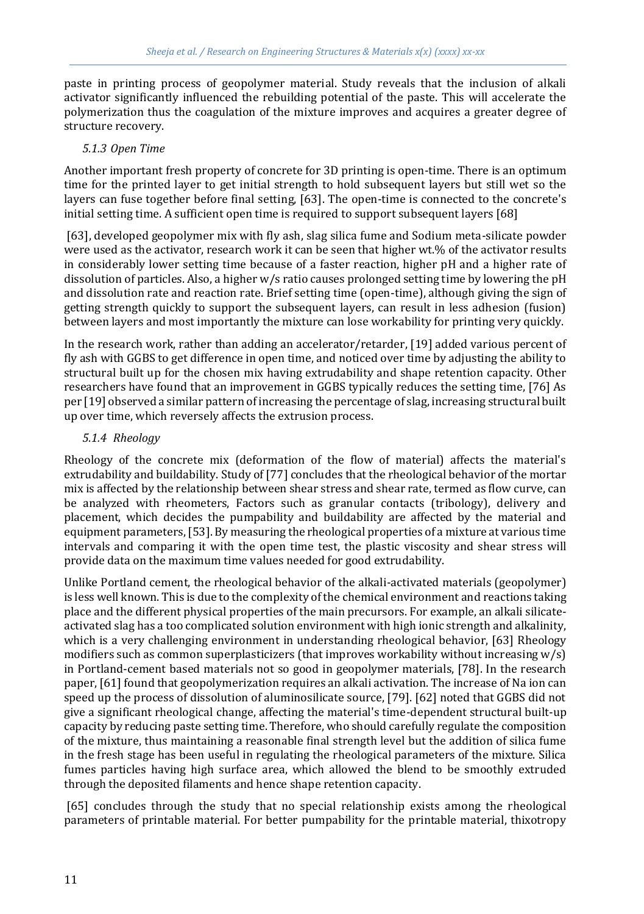paste in printing process of geopolymer material. Study reveals that the inclusion of alkali activator significantly influenced the rebuilding potential of the paste. This will accelerate the polymerization thus the coagulation of the mixture improves and acquires a greater degree of structure recovery.

### *5.1.3 Open Time*

Another important fresh property of concrete for 3D printing is open-time. There is an optimum time for the printed layer to get initial strength to hold subsequent layers but still wet so the layers can fuse together before final setting, [63]. The open-time is connected to the concrete's initial setting time. A sufficient open time is required to support subsequent layers [68]

[63], developed geopolymer mix with fly ash, slag silica fume and Sodium meta-silicate powder were used as the activator, research work it can be seen that higher wt.% of the activator results in considerably lower setting time because of a faster reaction, higher pH and a higher rate of dissolution of particles. Also, a higher w/s ratio causes prolonged setting time by lowering the pH and dissolution rate and reaction rate. Brief setting time (open-time), although giving the sign of getting strength quickly to support the subsequent layers, can result in less adhesion (fusion) between layers and most importantly the mixture can lose workability for printing very quickly.

In the research work, rather than adding an accelerator/retarder, [19] added various percent of fly ash with GGBS to get difference in open time, and noticed over time by adjusting the ability to structural built up for the chosen mix having extrudability and shape retention capacity. Other researchers have found that an improvement in GGBS typically reduces the setting time, [76] As per [19] observed a similar pattern of increasing the percentage of slag, increasing structural built up over time, which reversely affects the extrusion process.

### *5.1.4 Rheology*

Rheology of the concrete mix (deformation of the flow of material) affects the material's extrudability and buildability. Study of [77] concludes that the rheological behavior of the mortar mix is affected by the relationship between shear stress and shear rate, termed as flow curve, can be analyzed with rheometers, Factors such as granular contacts (tribology), delivery and placement, which decides the pumpability and buildability are affected by the material and equipment parameters, [53]. By measuring the rheological properties of a mixture at various time intervals and comparing it with the open time test, the plastic viscosity and shear stress will provide data on the maximum time values needed for good extrudability.

Unlike Portland cement, the rheological behavior of the alkali-activated materials (geopolymer) is less well known. This is due to the complexity of the chemical environment and reactions taking place and the different physical properties of the main precursors. For example, an alkali silicateactivated slag has a too complicated solution environment with high ionic strength and alkalinity, which is a very challenging environment in understanding rheological behavior, [63] Rheology modifiers such as common superplasticizers (that improves workability without increasing  $w/s$ ) in Portland-cement based materials not so good in geopolymer materials, [78]. In the research paper, [61] found that geopolymerization requires an alkali activation. The increase of Na ion can speed up the process of dissolution of aluminosilicate source, [79]. [62] noted that GGBS did not give a significant rheological change, affecting the material's time-dependent structural built-up capacity by reducing paste setting time. Therefore, who should carefully regulate the composition of the mixture, thus maintaining a reasonable final strength level but the addition of silica fume in the fresh stage has been useful in regulating the rheological parameters of the mixture. Silica fumes particles having high surface area, which allowed the blend to be smoothly extruded through the deposited filaments and hence shape retention capacity.

[65] concludes through the study that no special relationship exists among the rheological parameters of printable material. For better pumpability for the printable material, thixotropy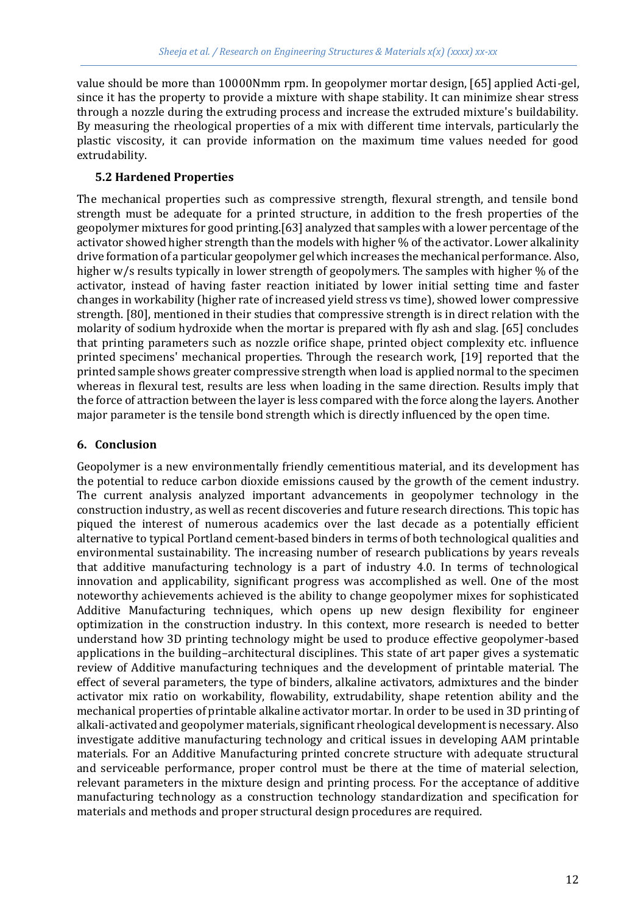value should be more than 10000Nmm rpm. In geopolymer mortar design, [65] applied Acti-gel, since it has the property to provide a mixture with shape stability. It can minimize shear stress through a nozzle during the extruding process and increase the extruded mixture's buildability. By measuring the rheological properties of a mix with different time intervals, particularly the plastic viscosity, it can provide information on the maximum time values needed for good extrudability.

### **5.2 Hardened Properties**

The mechanical properties such as compressive strength, flexural strength, and tensile bond strength must be adequate for a printed structure, in addition to the fresh properties of the geopolymer mixtures for good printing.[63] analyzed that samples with a lower percentage of the activator showed higher strength than the models with higher % of the activator. Lower alkalinity drive formation of a particular geopolymer gel which increases the mechanical performance. Also, higher w/s results typically in lower strength of geopolymers. The samples with higher % of the activator, instead of having faster reaction initiated by lower initial setting time and faster changes in workability (higher rate of increased yield stress vs time), showed lower compressive strength. [80], mentioned in their studies that compressive strength is in direct relation with the molarity of sodium hydroxide when the mortar is prepared with fly ash and slag. [65] concludes that printing parameters such as nozzle orifice shape, printed object complexity etc. influence printed specimens' mechanical properties. Through the research work, [19] reported that the printed sample shows greater compressive strength when load is applied normal to the specimen whereas in flexural test, results are less when loading in the same direction. Results imply that the force of attraction between the layer is less compared with the force along the layers. Another major parameter is the tensile bond strength which is directly influenced by the open time.

## **6. Conclusion**

Geopolymer is a new environmentally friendly cementitious material, and its development has the potential to reduce carbon dioxide emissions caused by the growth of the cement industry. The current analysis analyzed important advancements in geopolymer technology in the construction industry, as well as recent discoveries and future research directions. This topic has piqued the interest of numerous academics over the last decade as a potentially efficient alternative to typical Portland cement-based binders in terms of both technological qualities and environmental sustainability. The increasing number of research publications by years reveals that additive manufacturing technology is a part of industry 4.0. In terms of technological innovation and applicability, significant progress was accomplished as well. One of the most noteworthy achievements achieved is the ability to change geopolymer mixes for sophisticated Additive Manufacturing techniques, which opens up new design flexibility for engineer optimization in the construction industry. In this context, more research is needed to better understand how 3D printing technology might be used to produce effective geopolymer-based applications in the building–architectural disciplines. This state of art paper gives a systematic review of Additive manufacturing techniques and the development of printable material. The effect of several parameters, the type of binders, alkaline activators, admixtures and the binder activator mix ratio on workability, flowability, extrudability, shape retention ability and the mechanical properties of printable alkaline activator mortar. In order to be used in 3D printing of alkali-activated and geopolymer materials, significant rheological development is necessary. Also investigate additive manufacturing technology and critical issues in developing AAM printable materials. For an Additive Manufacturing printed concrete structure with adequate structural and serviceable performance, proper control must be there at the time of material selection, relevant parameters in the mixture design and printing process. For the acceptance of additive manufacturing technology as a construction technology standardization and specification for materials and methods and proper structural design procedures are required.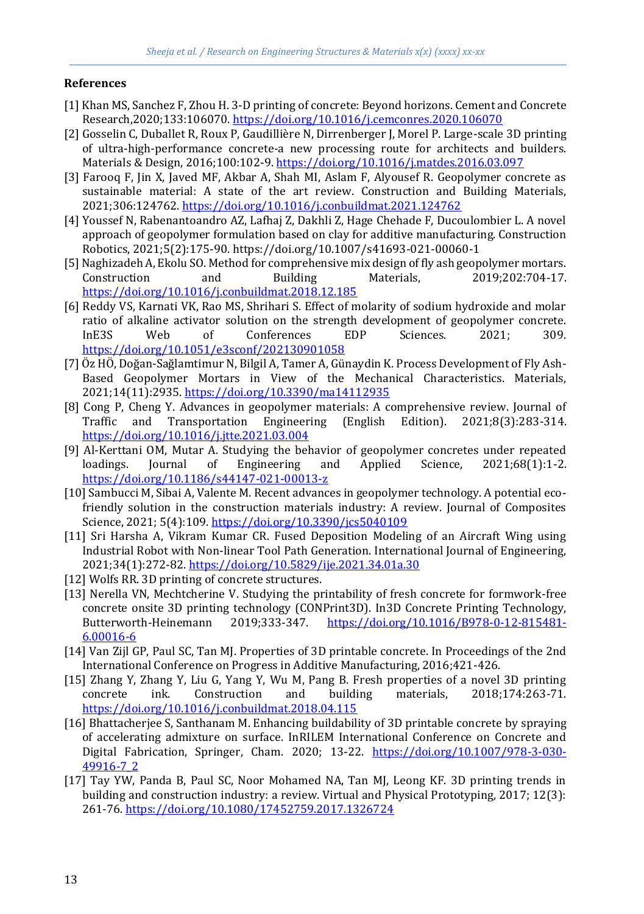### **References**

- [1] Khan MS, Sanchez F, Zhou H. 3-D printing of concrete: Beyond horizons. Cement and Concrete Research,2020;133:106070[. https://doi.org/10.1016/j.cemconres.2020.106070](https://doi.org/10.1016/j.cemconres.2020.106070)
- [2] Gosselin C, Duballet R, Roux P, Gaudillière N, Dirrenberger J, Morel P. Large-scale 3D printing of ultra-high-performance concrete-a new processing route for architects and builders. Materials & Design, 2016;100:102-9[. https://doi.org/10.1016/j.matdes.2016.03.097](https://doi.org/10.1016/j.matdes.2016.03.097)
- [3] Farooq F, Jin X, Javed MF, Akbar A, Shah MI, Aslam F, Alyousef R. Geopolymer concrete as sustainable material: A state of the art review. Construction and Building Materials, 2021;306:124762[. https://doi.org/10.1016/j.conbuildmat.2021.124762](https://doi.org/10.1016/j.conbuildmat.2021.124762)
- [4] Youssef N, Rabenantoandro AZ, Lafhaj Z, Dakhli Z, Hage Chehade F, Ducoulombier L. A novel approach of geopolymer formulation based on clay for additive manufacturing. Construction Robotics, 2021;5(2):175-90. https://doi.org/10.1007/s41693-021-00060-1
- [5] Naghizadeh A, Ekolu SO. Method for comprehensive mix design of fly ash geopolymer mortars. Construction and Building Materials, 2019;202:704-17. <https://doi.org/10.1016/j.conbuildmat.2018.12.185>
- [6] Reddy VS, Karnati VK, Rao MS, Shrihari S. Effect of molarity of sodium hydroxide and molar ratio of alkaline activator solution on the strength development of geopolymer concrete. InE3S Web of Conferences EDP Sciences. 2021; 309. <https://doi.org/10.1051/e3sconf/202130901058>
- [7] Öz HÖ, Doğan-Sağlamtimur N, Bilgil A, Tamer A, Günaydin K. Process Development of Fly Ash-Based Geopolymer Mortars in View of the Mechanical Characteristics. Materials, 2021;14(11):2935[. https://doi.org/10.3390/ma14112935](https://doi.org/10.3390/ma14112935)
- [8] Cong P, Cheng Y. Advances in geopolymer materials: A comprehensive review. Journal of Traffic and Transportation Engineering (English Edition). 2021;8(3):283-314. <https://doi.org/10.1016/j.jtte.2021.03.004>
- [9] Al-Kerttani OM, Mutar A. Studying the behavior of geopolymer concretes under repeated loadings. Journal of Engineering and Applied Science, 2021;68(1):1-2. <https://doi.org/10.1186/s44147-021-00013-z>
- [10] Sambucci M, Sibai A, Valente M. Recent advances in geopolymer technology. A potential ecofriendly solution in the construction materials industry: A review. Journal of Composites Science, 2021; 5(4):109.<https://doi.org/10.3390/jcs5040109>
- [11] Sri Harsha A, Vikram Kumar CR. Fused Deposition Modeling of an Aircraft Wing using Industrial Robot with Non-linear Tool Path Generation. International Journal of Engineering, 2021;34(1):272-82[. https://doi.org/10.5829/ije.2021.34.01a.30](https://doi.org/10.5829/ije.2021.34.01a.30)
- [12] Wolfs RR. 3D printing of concrete structures.
- [13] Nerella VN, Mechtcherine V. Studying the printability of fresh concrete for formwork-free concrete onsite 3D printing technology (CONPrint3D). In3D Concrete Printing Technology, Butterworth-Heinemann 2019;333-347. [https://doi.org/10.1016/B978-0-12-815481-](https://doi.org/10.1016/B978-0-12-815481-6.00016-6) [6.00016-6](https://doi.org/10.1016/B978-0-12-815481-6.00016-6)
- [14] Van Zijl GP, Paul SC, Tan MJ. Properties of 3D printable concrete. In Proceedings of the 2nd International Conference on Progress in Additive Manufacturing, 2016;421-426.
- [15] Zhang Y, Zhang Y, Liu G, Yang Y, Wu M, Pang B. Fresh properties of a novel 3D printing concrete ink. Construction and building materials, 2018;174:263-71. <https://doi.org/10.1016/j.conbuildmat.2018.04.115>
- [16] Bhattacherjee S, Santhanam M. Enhancing buildability of 3D printable concrete by spraying of accelerating admixture on surface. InRILEM International Conference on Concrete and Digital Fabrication, Springer, Cham. 2020; 13-22. [https://doi.org/10.1007/978-3-030-](https://doi.org/10.1007/978-3-030-49916-7_2) [49916-7\\_2](https://doi.org/10.1007/978-3-030-49916-7_2)
- [17] Tay YW, Panda B, Paul SC, Noor Mohamed NA, Tan MJ, Leong KF. 3D printing trends in building and construction industry: a review. Virtual and Physical Prototyping, 2017; 12(3): 261-76[. https://doi.org/10.1080/17452759.2017.1326724](https://doi.org/10.1080/17452759.2017.1326724)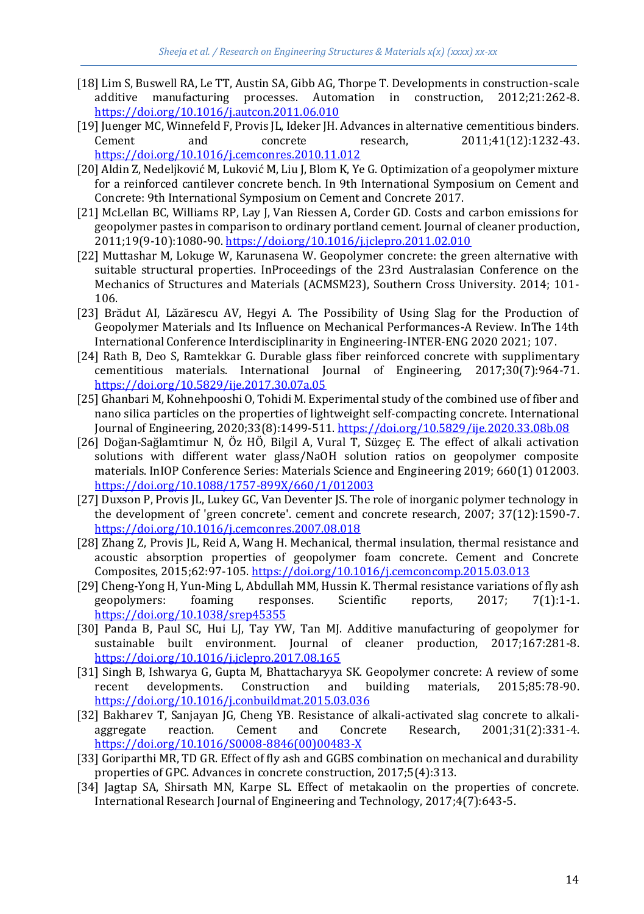- [18] Lim S, Buswell RA, Le TT, Austin SA, Gibb AG, Thorpe T. Developments in construction-scale additive manufacturing processes. Automation in construction, 2012;21:262-8. <https://doi.org/10.1016/j.autcon.2011.06.010>
- [19] Juenger MC, Winnefeld F, Provis JL, Ideker JH. Advances in alternative cementitious binders. Cement and concrete research, 2011;41(12):1232-43. <https://doi.org/10.1016/j.cemconres.2010.11.012>
- [20] Aldin Z, Nedeljković M, Luković M, Liu J, Blom K, Ye G. Optimization of a geopolymer mixture for a reinforced cantilever concrete bench. In 9th International Symposium on Cement and Concrete: 9th International Symposium on Cement and Concrete 2017.
- [21] McLellan BC, Williams RP, Lay J, Van Riessen A, Corder GD. Costs and carbon emissions for geopolymer pastes in comparison to ordinary portland cement. Journal of cleaner production, 2011;19(9-10):1080-90[. https://doi.org/10.1016/j.jclepro.2011.02.010](https://doi.org/10.1016/j.jclepro.2011.02.010)
- [22] Muttashar M, Lokuge W, Karunasena W. Geopolymer concrete: the green alternative with suitable structural properties. InProceedings of the 23rd Australasian Conference on the Mechanics of Structures and Materials (ACMSM23), Southern Cross University. 2014; 101- 106.
- [23] Brădut AI, Lăzărescu AV, Hegyi A. The Possibility of Using Slag for the Production of Geopolymer Materials and Its Influence on Mechanical Performances-A Review. InThe 14th International Conference Interdisciplinarity in Engineering-INTER-ENG 2020 2021; 107.
- [24] Rath B, Deo S, Ramtekkar G. Durable glass fiber reinforced concrete with supplimentary cementitious materials. International Journal of Engineering, 2017;30(7):964-71. <https://doi.org/10.5829/ije.2017.30.07a.05>
- [25] Ghanbari M, Kohnehpooshi O, Tohidi M. Experimental study of the combined use of fiber and nano silica particles on the properties of lightweight self-compacting concrete. International Journal of Engineering, 2020;33(8):1499-511.<https://doi.org/10.5829/ije.2020.33.08b.08>
- [26] Doğan-Sağlamtimur N, Öz HÖ, Bilgil A, Vural T, Süzgeç E. The effect of alkali activation solutions with different water glass/NaOH solution ratios on geopolymer composite materials. InIOP Conference Series: Materials Science and Engineering 2019; 660(1) 012003. <https://doi.org/10.1088/1757-899X/660/1/012003>
- [27] Duxson P, Provis JL, Lukey GC, Van Deventer JS. The role of inorganic polymer technology in the development of 'green concrete'. cement and concrete research, 2007; 37(12):1590-7. <https://doi.org/10.1016/j.cemconres.2007.08.018>
- [28] Zhang Z, Provis JL, Reid A, Wang H. Mechanical, thermal insulation, thermal resistance and acoustic absorption properties of geopolymer foam concrete. Cement and Concrete Composites, 2015;62:97-105[. https://doi.org/10.1016/j.cemconcomp.2015.03.013](https://doi.org/10.1016/j.cemconcomp.2015.03.013)
- [29] Cheng-Yong H, Yun-Ming L, Abdullah MM, Hussin K. Thermal resistance variations of fly ash geopolymers: foaming responses. Scientific reports, 2017; 7(1):1-1. <https://doi.org/10.1038/srep45355>
- [30] Panda B, Paul SC, Hui LJ, Tay YW, Tan MJ. Additive manufacturing of geopolymer for sustainable built environment. Journal of cleaner production, 2017;167:281-8. <https://doi.org/10.1016/j.jclepro.2017.08.165>
- [31] Singh B, Ishwarya G, Gupta M, Bhattacharyya SK. Geopolymer concrete: A review of some recent developments. Construction and building materials, 2015;85:78-90. <https://doi.org/10.1016/j.conbuildmat.2015.03.036>
- [32] Bakharev T, Sanjayan JG, Cheng YB. Resistance of alkali-activated slag concrete to alkaliaggregate reaction. Cement and Concrete Research, 2001;31(2):331-4. [https://doi.org/10.1016/S0008-8846\(00\)00483-X](https://doi.org/10.1016/S0008-8846(00)00483-X)
- [33] Goriparthi MR, TD GR. Effect of fly ash and GGBS combination on mechanical and durability properties of GPC. Advances in concrete construction, 2017;5(4):313.
- [34] Jagtap SA, Shirsath MN, Karpe SL. Effect of metakaolin on the properties of concrete. International Research Journal of Engineering and Technology, 2017;4(7):643-5.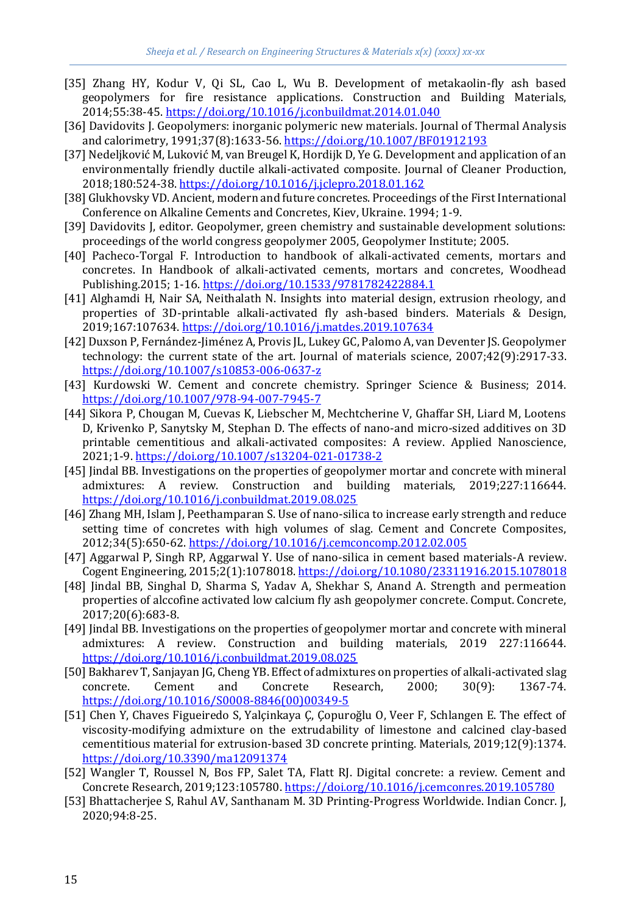- [35] Zhang HY, Kodur V, Qi SL, Cao L, Wu B. Development of metakaolin-fly ash based geopolymers for fire resistance applications. Construction and Building Materials, 2014;55:38-45[. https://doi.org/10.1016/j.conbuildmat.2014.01.040](https://doi.org/10.1016/j.conbuildmat.2014.01.040)
- [36] Davidovits J. Geopolymers: inorganic polymeric new materials. Journal of Thermal Analysis and calorimetry, 1991;37(8):1633-56[. https://doi.org/10.1007/BF01912193](https://doi.org/10.1007/BF01912193)
- [37] Nedeljković M, Luković M, van Breugel K, Hordijk D, Ye G. Development and application of an environmentally friendly ductile alkali-activated composite. Journal of Cleaner Production, 2018;180:524-38[. https://doi.org/10.1016/j.jclepro.2018.01.162](https://doi.org/10.1016/j.jclepro.2018.01.162)
- [38] Glukhovsky VD. Ancient, modern and future concretes. Proceedings of the First International Conference on Alkaline Cements and Concretes, Kiev, Ukraine. 1994; 1-9.
- [39] Davidovits J, editor. Geopolymer, green chemistry and sustainable development solutions: proceedings of the world congress geopolymer 2005, Geopolymer Institute; 2005.
- [40] Pacheco-Torgal F. Introduction to handbook of alkali-activated cements, mortars and concretes. In Handbook of alkali-activated cements, mortars and concretes, Woodhead Publishing.2015; 1-16[. https://doi.org/10.1533/9781782422884.1](https://doi.org/10.1533/9781782422884.1)
- [41] Alghamdi H, Nair SA, Neithalath N. Insights into material design, extrusion rheology, and properties of 3D-printable alkali-activated fly ash-based binders. Materials & Design, 2019;167:107634[. https://doi.org/10.1016/j.matdes.2019.107634](https://doi.org/10.1016/j.matdes.2019.107634)
- [42] Duxson P, Fernández-Jiménez A, Provis JL, Lukey GC, Palomo A, van Deventer JS. Geopolymer technology: the current state of the art. Journal of materials science, 2007;42(9):2917-33. <https://doi.org/10.1007/s10853-006-0637-z>
- [43] Kurdowski W. Cement and concrete chemistry. Springer Science & Business; 2014. <https://doi.org/10.1007/978-94-007-7945-7>
- [44] Sikora P, Chougan M, Cuevas K, Liebscher M, Mechtcherine V, Ghaffar SH, Liard M, Lootens D, Krivenko P, Sanytsky M, Stephan D. The effects of nano-and micro-sized additives on 3D printable cementitious and alkali-activated composites: A review. Applied Nanoscience, 2021;1-9[. https://doi.org/10.1007/s13204-021-01738-2](https://doi.org/10.1007/s13204-021-01738-2)
- [45] Jindal BB. Investigations on the properties of geopolymer mortar and concrete with mineral admixtures: A review. Construction and building materials, 2019;227:116644. <https://doi.org/10.1016/j.conbuildmat.2019.08.025>
- [46] Zhang MH, Islam J, Peethamparan S. Use of nano-silica to increase early strength and reduce setting time of concretes with high volumes of slag. Cement and Concrete Composites, 2012;34(5):650-62[. https://doi.org/10.1016/j.cemconcomp.2012.02.005](https://doi.org/10.1016/j.cemconcomp.2012.02.005)
- [47] Aggarwal P, Singh RP, Aggarwal Y. Use of nano-silica in cement based materials-A review. Cogent Engineering, 2015;2(1):1078018[. https://doi.org/10.1080/23311916.2015.1078018](https://doi.org/10.1080/23311916.2015.1078018)
- [48] Jindal BB, Singhal D, Sharma S, Yadav A, Shekhar S, Anand A. Strength and permeation properties of alccofine activated low calcium fly ash geopolymer concrete. Comput. Concrete, 2017;20(6):683-8.
- [49] Jindal BB. Investigations on the properties of geopolymer mortar and concrete with mineral admixtures: A review. Construction and building materials, 2019 227:116644. <https://doi.org/10.1016/j.conbuildmat.2019.08.025>
- [50] Bakharev T, Sanjayan JG, Cheng YB. Effect of admixtures on properties of alkali-activated slag concrete. Cement and Concrete Research, 2000; 30(9): 1367-74. [https://doi.org/10.1016/S0008-8846\(00\)00349-5](https://doi.org/10.1016/S0008-8846(00)00349-5)
- [51] Chen Y, Chaves Figueiredo S, Yalçinkaya Ç, Çopuroğlu O, Veer F, Schlangen E. The effect of viscosity-modifying admixture on the extrudability of limestone and calcined clay-based cementitious material for extrusion-based 3D concrete printing. Materials, 2019;12(9):1374. <https://doi.org/10.3390/ma12091374>
- [52] Wangler T, Roussel N, Bos FP, Salet TA, Flatt RJ. Digital concrete: a review. Cement and Concrete Research, 2019;123:105780.<https://doi.org/10.1016/j.cemconres.2019.105780>
- [53] Bhattacherjee S, Rahul AV, Santhanam M. 3D Printing-Progress Worldwide. Indian Concr. J, 2020;94:8-25.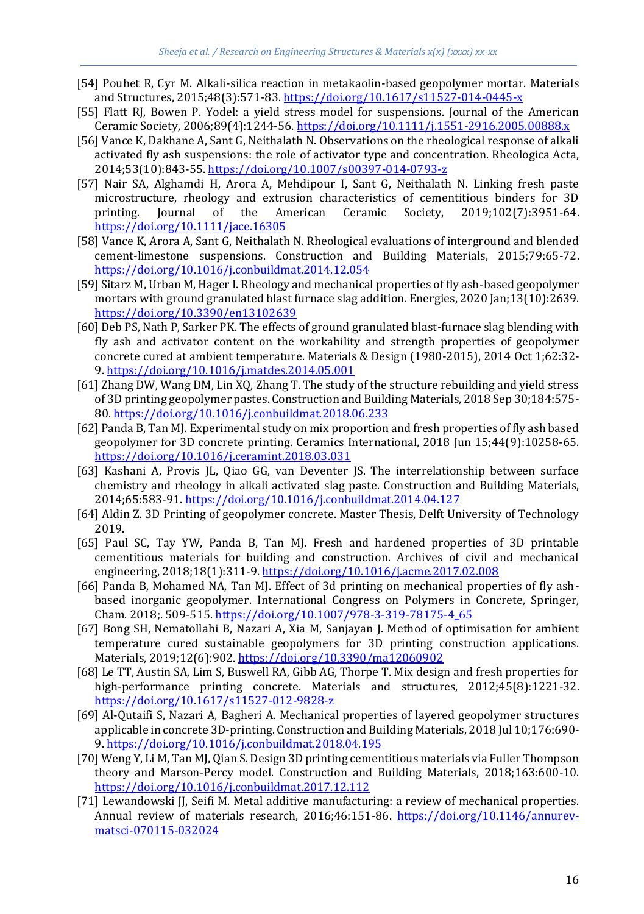- [54] Pouhet R, Cyr M. Alkali-silica reaction in metakaolin-based geopolymer mortar. Materials and Structures, 2015;48(3):571-83.<https://doi.org/10.1617/s11527-014-0445-x>
- [55] Flatt RJ, Bowen P. Yodel: a yield stress model for suspensions. Journal of the American Ceramic Society, 2006;89(4):1244-56[. https://doi.org/10.1111/j.1551-2916.2005.00888.x](https://doi.org/10.1111/j.1551-2916.2005.00888.x)
- [56] Vance K, Dakhane A, Sant G, Neithalath N. Observations on the rheological response of alkali activated fly ash suspensions: the role of activator type and concentration. Rheologica Acta, 2014;53(10):843-55[. https://doi.org/10.1007/s00397-014-0793-z](https://doi.org/10.1007/s00397-014-0793-z)
- [57] Nair SA, Alghamdi H, Arora A, Mehdipour I, Sant G, Neithalath N. Linking fresh paste microstructure, rheology and extrusion characteristics of cementitious binders for 3D printing. Journal of the American Ceramic Society, 2019;102(7):3951-64. <https://doi.org/10.1111/jace.16305>
- [58] Vance K, Arora A, Sant G, Neithalath N. Rheological evaluations of interground and blended cement-limestone suspensions. Construction and Building Materials, 2015;79:65-72. <https://doi.org/10.1016/j.conbuildmat.2014.12.054>
- [59] Sitarz M, Urban M, Hager I. Rheology and mechanical properties of fly ash-based geopolymer mortars with ground granulated blast furnace slag addition. Energies, 2020 Jan;13(10):2639. <https://doi.org/10.3390/en13102639>
- [60] Deb PS, Nath P, Sarker PK. The effects of ground granulated blast-furnace slag blending with fly ash and activator content on the workability and strength properties of geopolymer concrete cured at ambient temperature. Materials & Design (1980-2015), 2014 Oct 1;62:32- 9.<https://doi.org/10.1016/j.matdes.2014.05.001>
- [61] Zhang DW, Wang DM, Lin XQ, Zhang T. The study of the structure rebuilding and yield stress of 3D printing geopolymer pastes. Construction and Building Materials, 2018 Sep 30;184:575- 80[. https://doi.org/10.1016/j.conbuildmat.2018.06.233](https://doi.org/10.1016/j.conbuildmat.2018.06.233)
- [62] Panda B, Tan MJ. Experimental study on mix proportion and fresh properties of fly ash based geopolymer for 3D concrete printing. Ceramics International, 2018 Jun 15;44(9):10258-65. <https://doi.org/10.1016/j.ceramint.2018.03.031>
- [63] Kashani A, Provis JL, Qiao GG, van Deventer JS. The interrelationship between surface chemistry and rheology in alkali activated slag paste. Construction and Building Materials, 2014;65:583-91.<https://doi.org/10.1016/j.conbuildmat.2014.04.127>
- [64] Aldin Z. 3D Printing of geopolymer concrete. Master Thesis, Delft University of Technology 2019.
- [65] Paul SC, Tay YW, Panda B, Tan MJ. Fresh and hardened properties of 3D printable cementitious materials for building and construction. Archives of civil and mechanical engineering, 2018;18(1):311-9[. https://doi.org/10.1016/j.acme.2017.02.008](https://doi.org/10.1016/j.acme.2017.02.008)
- [66] Panda B, Mohamed NA, Tan MJ. Effect of 3d printing on mechanical properties of fly ashbased inorganic geopolymer. International Congress on Polymers in Concrete, Springer, Cham. 2018;. 509-515. [https://doi.org/10.1007/978-3-319-78175-4\\_65](https://doi.org/10.1007/978-3-319-78175-4_65)
- [67] Bong SH, Nematollahi B, Nazari A, Xia M, Sanjayan J. Method of optimisation for ambient temperature cured sustainable geopolymers for 3D printing construction applications. Materials, 2019;12(6):902.<https://doi.org/10.3390/ma12060902>
- [68] Le TT, Austin SA, Lim S, Buswell RA, Gibb AG, Thorpe T. Mix design and fresh properties for high-performance printing concrete. Materials and structures, 2012;45(8):1221-32. <https://doi.org/10.1617/s11527-012-9828-z>
- [69] Al-Qutaifi S, Nazari A, Bagheri A. Mechanical properties of layered geopolymer structures applicable in concrete 3D-printing. Construction and Building Materials, 2018 Jul 10;176:690- 9.<https://doi.org/10.1016/j.conbuildmat.2018.04.195>
- [70] Weng Y, Li M, Tan MJ, Qian S. Design 3D printing cementitious materials via Fuller Thompson theory and Marson-Percy model. Construction and Building Materials, 2018;163:600-10. <https://doi.org/10.1016/j.conbuildmat.2017.12.112>
- [71] Lewandowski JJ, Seifi M. Metal additive manufacturing: a review of mechanical properties. Annual review of materials research, 2016;46:151-86. [https://doi.org/10.1146/annurev](https://doi.org/10.1146/annurev-matsci-070115-032024)[matsci-070115-032024](https://doi.org/10.1146/annurev-matsci-070115-032024)